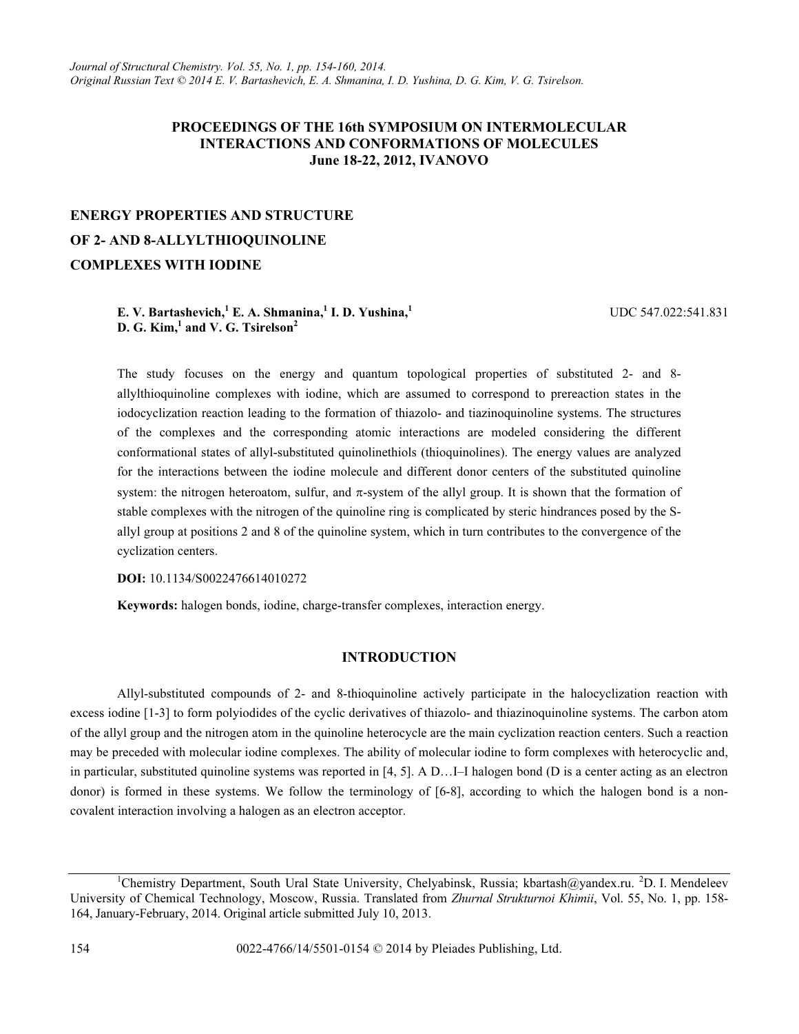## PROCEEDINGS OF THE 16th SYMPOSIUM ON INTERMOLECULAR INTERACTIONS AND CONFORMATIONS OF MOLECULES June 18-22, 2012, IVANOVO

# ENERGY PROPERTIES AND STRUCTURE OF 2- AND 8-ALLYLTHIOQUINOLINE COMPLEXES WITH IODINE

## E. V. Bartashevich, <sup>1</sup> E. A. Shmanina, <sup>1</sup> I. D. Yushina, <sup>1</sup> D. G.  $Kim, 1$  and V. G. Tsirelson<sup>2</sup>

UDC 547.022:541.831

The study focuses on the energy and quantum topological properties of substituted 2- and 8 allylthioquinoline complexes with iodine, which are assumed to correspond to prereaction states in the iodocyclization reaction leading to the formation of thiazolo- and tiazinoquinoline systems. The structures of the complexes and the corresponding atomic interactions are modeled considering the different conformational states of allyl-substituted quinolinethiols (thioquinolines). The energy values are analyzed for the interactions between the iodine molecule and different donor centers of the substituted quinoline system: the nitrogen heteroatom, sulfur, and π-system of the allyl group. It is shown that the formation of stable complexes with the nitrogen of the quinoline ring is complicated by steric hindrances posed by the Sallyl group at positions 2 and 8 of the quinoline system, which in turn contributes to the convergence of the cyclization centers.

DOI: 10.1134/S0022476614010272

Keywords: halogen bonds, iodine, charge-transfer complexes, interaction energy.

## INTRODUCTION

Allyl-substituted compounds of 2- and 8-thioquinoline actively participate in the halocyclization reaction with excess iodine [1-3] to form polyiodides of the cyclic derivatives of thiazolo- and thiazinoquinoline systems. The carbon atom of the allyl group and the nitrogen atom in the quinoline heterocycle are the main cyclization reaction centers. Such a reaction may be preceded with molecular iodine complexes. The ability of molecular iodine to form complexes with heterocyclic and, in particular, substituted quinoline systems was reported in [4, 5]. A D…I–I halogen bond (D is a center acting as an electron donor) is formed in these systems. We follow the terminology of [6-8], according to which the halogen bond is a noncovalent interaction involving a halogen as an electron acceptor.

<sup>&</sup>lt;sup>1</sup>Chemistry Department, South Ural State University, Chelyabinsk, Russia; kbartash@yandex.ru. <sup>2</sup>D. I. Mendeleev University of Chemical Technology, Moscow, Russia. Translated from Zhurnal Strukturnoi Khimii, Vol. 55, No. 1, pp. 158-164, January-February, 2014. Original article submitted July 10, 2013.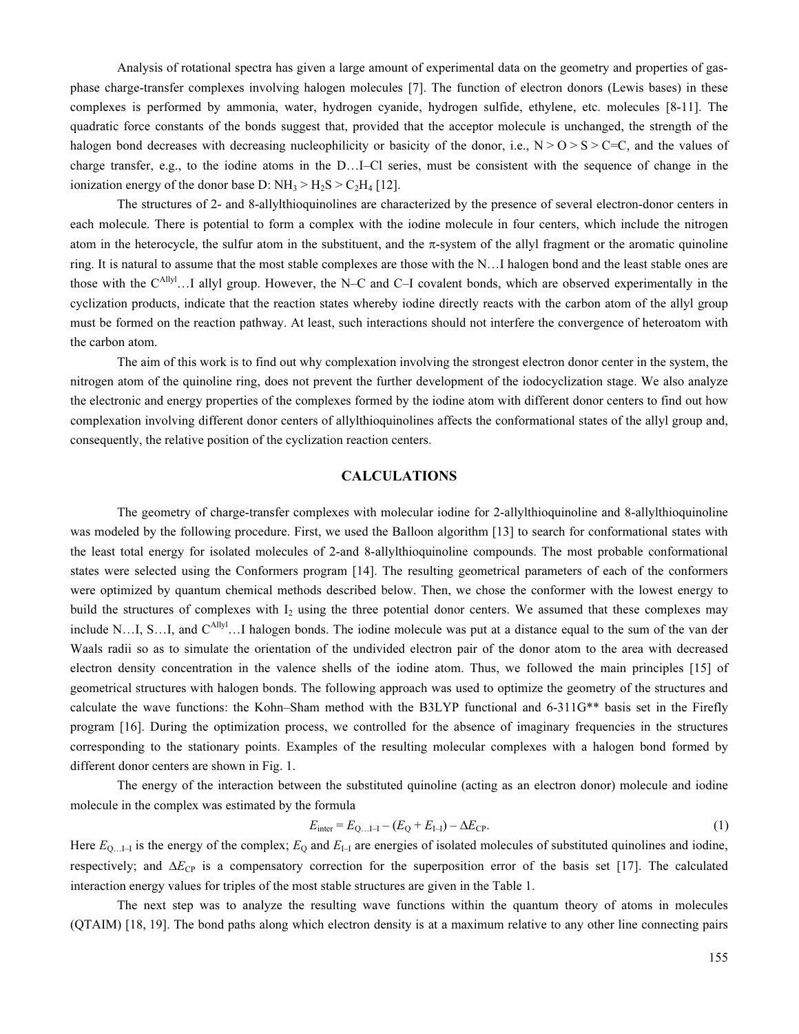Analysis of rotational spectra has given a large amount of experimental data on the geometry and properties of gasphase charge-transfer complexes involving halogen molecules [7]. The function of electron donors (Lewis bases) in these complexes is performed by ammonia, water, hydrogen cyanide, hydrogen sulfide, ethylene, etc. molecules [8-11]. The quadratic force constants of the bonds suggest that, provided that the acceptor molecule is unchanged, the strength of the halogen bond decreases with decreasing nucleophilicity or basicity of the donor, i.e.,  $N > 0 > S > C=C$ , and the values of charge transfer, e.g., to the iodine atoms in the D…I–Cl series, must be consistent with the sequence of change in the ionization energy of the donor base D:  $NH_3 > H_2S > C_2H_4$  [12].

The structures of 2- and 8-allylthioquinolines are characterized by the presence of several electron-donor centers in each molecule. There is potential to form a complex with the iodine molecule in four centers, which include the nitrogen atom in the heterocycle, the sulfur atom in the substituent, and the π-system of the allyl fragment or the aromatic quinoline ring. It is natural to assume that the most stable complexes are those with the N…I halogen bond and the least stable ones are those with the C<sup>Allyl</sup>…I allyl group. However, the N–C and C–I covalent bonds, which are observed experimentally in the cyclization products, indicate that the reaction states whereby iodine directly reacts with the carbon atom of the allyl group must be formed on the reaction pathway. At least, such interactions should not interfere the convergence of heteroatom with the carbon atom.

The aim of this work is to find out why complexation involving the strongest electron donor center in the system, the nitrogen atom of the quinoline ring, does not prevent the further development of the iodocyclization stage. We also analyze the electronic and energy properties of the complexes formed by the iodine atom with different donor centers to find out how complexation involving different donor centers of allylthioquinolines affects the conformational states of the allyl group and, consequently, the relative position of the cyclization reaction centers.

#### CALCULATIONS

The geometry of charge-transfer complexes with molecular iodine for 2-allylthioquinoline and 8-allylthioquinoline was modeled by the following procedure. First, we used the Balloon algorithm [13] to search for conformational states with the least total energy for isolated molecules of 2-and 8-allylthioquinoline compounds. The most probable conformational states were selected using the Conformers program [14]. The resulting geometrical parameters of each of the conformers were optimized by quantum chemical methods described below. Then, we chose the conformer with the lowest energy to build the structures of complexes with  $I_2$  using the three potential donor centers. We assumed that these complexes may include N…I, S…I, and C<sup>Allyl</sup>…I halogen bonds. The iodine molecule was put at a distance equal to the sum of the van der Waals radii so as to simulate the orientation of the undivided electron pair of the donor atom to the area with decreased electron density concentration in the valence shells of the iodine atom. Thus, we followed the main principles [15] of geometrical structures with halogen bonds. The following approach was used to optimize the geometry of the structures and calculate the wave functions: the Kohn–Sham method with the B3LYP functional and 6-311G\*\* basis set in the Firefly program [16]. During the optimization process, we controlled for the absence of imaginary frequencies in the structures corresponding to the stationary points. Examples of the resulting molecular complexes with a halogen bond formed by different donor centers are shown in Fig. 1.

The energy of the interaction between the substituted quinoline (acting as an electron donor) molecule and iodine molecule in the complex was estimated by the formula

$$
E_{\text{inter}} = E_{Q...H} - (E_Q + E_{H}) - \Delta E_{CP}.\tag{1}
$$

Here  $E_{Q...I-I}$  is the energy of the complex;  $E_Q$  and  $E_{I-I}$  are energies of isolated molecules of substituted quinolines and iodine, respectively; and  $\Delta E_{CP}$  is a compensatory correction for the superposition error of the basis set [17]. The calculated interaction energy values for triples of the most stable structures are given in the Table 1.

The next step was to analyze the resulting wave functions within the quantum theory of atoms in molecules (QTАIM) [18, 19]. The bond paths along which electron density is at a maximum relative to any other line connecting pairs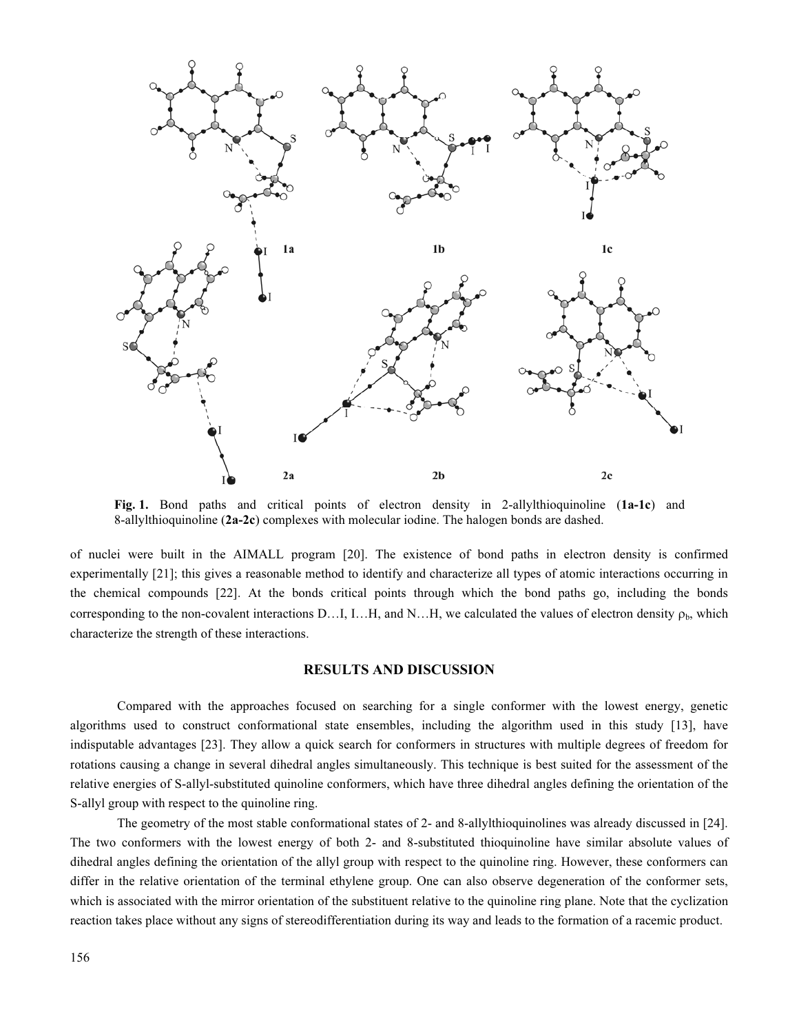

Fig. 1. Bond paths and critical points of electron density in 2-allylthioquinoline (1a-1c) and 8-allylthioquinoline (2а-2с) complexes with molecular iodine. The halogen bonds are dashed.

of nuclei were built in the AIMALL program [20]. The existence of bond paths in electron density is confirmed experimentally [21]; this gives a reasonable method to identify and characterize all types of atomic interactions occurring in the chemical compounds [22]. At the bonds critical points through which the bond paths go, including the bonds corresponding to the non-covalent interactions D…I, I…H, and N…H, we calculated the values of electron density  $\rho_b$ , which characterize the strength of these interactions.

### RESULTS AND DISCUSSION

Compared with the approaches focused on searching for a single conformer with the lowest energy, genetic algorithms used to construct conformational state ensembles, including the algorithm used in this study [13], have indisputable advantages [23]. They allow a quick search for conformers in structures with multiple degrees of freedom for rotations causing a change in several dihedral angles simultaneously. This technique is best suited for the assessment of the relative energies of S-allyl-substituted quinoline conformers, which have three dihedral angles defining the orientation of the S-allyl group with respect to the quinoline ring.

The geometry of the most stable conformational states of 2- and 8-allylthioquinolines was already discussed in [24]. The two conformers with the lowest energy of both 2- and 8-substituted thioquinoline have similar absolute values of dihedral angles defining the orientation of the allyl group with respect to the quinoline ring. However, these conformers can differ in the relative orientation of the terminal ethylene group. One can also observe degeneration of the conformer sets, which is associated with the mirror orientation of the substituent relative to the quinoline ring plane. Note that the cyclization reaction takes place without any signs of stereodifferentiation during its way and leads to the formation of a racemic product.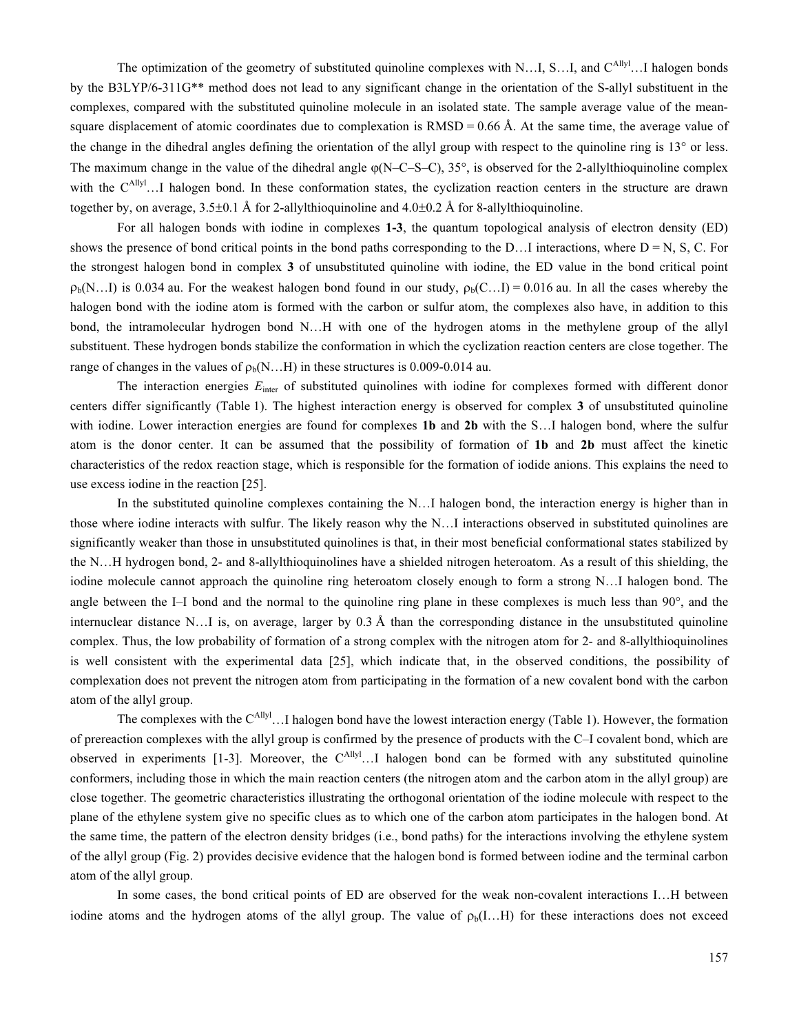The optimization of the geometry of substituted quinoline complexes with N…I, S…I, and C<sup>Allyl</sup>…I halogen bonds by the B3LYP/6-311G\*\* method does not lead to any significant change in the orientation of the S-allyl substituent in the complexes, compared with the substituted quinoline molecule in an isolated state. The sample average value of the meansquare displacement of atomic coordinates due to complexation is  $RMSD = 0.66$  Å. At the same time, the average value of the change in the dihedral angles defining the orientation of the allyl group with respect to the quinoline ring is 13° or less. The maximum change in the value of the dihedral angle  $\varphi(N-C-S-C)$ , 35°, is observed for the 2-allylthioquinoline complex with the CAllyl…I halogen bond. In these conformation states, the cyclization reaction centers in the structure are drawn together by, on average, 3.5±0.1 Å for 2-allylthioquinoline and 4.0±0.2 Å for 8-allylthioquinoline.

For all halogen bonds with iodine in complexes 1-3, the quantum topological analysis of electron density (ED) shows the presence of bond critical points in the bond paths corresponding to the D…I interactions, where  $D = N$ , S, C. For the strongest halogen bond in complex 3 of unsubstituted quinoline with iodine, the ED value in the bond critical point  $\rho_b(N...I)$  is 0.034 au. For the weakest halogen bond found in our study,  $\rho_b(C...I) = 0.016$  au. In all the cases whereby the halogen bond with the iodine atom is formed with the carbon or sulfur atom, the complexes also have, in addition to this bond, the intramolecular hydrogen bond N…H with one of the hydrogen atoms in the methylene group of the allyl substituent. These hydrogen bonds stabilize the conformation in which the cyclization reaction centers are close together. The range of changes in the values of  $\rho_b(N...H)$  in these structures is 0.009-0.014 au.

The interaction energies  $E_{\text{inter}}$  of substituted quinolines with iodine for complexes formed with different donor centers differ significantly (Table 1). The highest interaction energy is observed for complex 3 of unsubstituted quinoline with iodine. Lower interaction energies are found for complexes 1b and 2b with the S…I halogen bond, where the sulfur atom is the donor center. It can be assumed that the possibility of formation of 1b and 2b must affect the kinetic characteristics of the redox reaction stage, which is responsible for the formation of iodide anions. This explains the need to use excess iodine in the reaction [25].

In the substituted quinoline complexes containing the N...I halogen bond, the interaction energy is higher than in those where iodine interacts with sulfur. The likely reason why the N…I interactions observed in substituted quinolines are significantly weaker than those in unsubstituted quinolines is that, in their most beneficial conformational states stabilized by the N…H hydrogen bond, 2- and 8-allylthioquinolines have a shielded nitrogen heteroatom. As a result of this shielding, the iodine molecule cannot approach the quinoline ring heteroatom closely enough to form a strong N…I halogen bond. The angle between the I–I bond and the normal to the quinoline ring plane in these complexes is much less than 90°, and the internuclear distance N…I is, on average, larger by 0.3 Å than the corresponding distance in the unsubstituted quinoline complex. Thus, the low probability of formation of a strong complex with the nitrogen atom for 2- and 8-allylthioquinolines is well consistent with the experimental data [25], which indicate that, in the observed conditions, the possibility of complexation does not prevent the nitrogen atom from participating in the formation of a new covalent bond with the carbon atom of the allyl group.

The complexes with the  $C^{Allyl}$ …I halogen bond have the lowest interaction energy (Table 1). However, the formation of prereaction complexes with the allyl group is confirmed by the presence of products with the C–I covalent bond, which are observed in experiments [1-3]. Moreover, the C<sup>Allyl</sup>…I halogen bond can be formed with any substituted quinoline conformers, including those in which the main reaction centers (the nitrogen atom and the carbon atom in the allyl group) are close together. The geometric characteristics illustrating the orthogonal orientation of the iodine molecule with respect to the plane of the ethylene system give no specific clues as to which one of the carbon atom participates in the halogen bond. At the same time, the pattern of the electron density bridges (i.e., bond paths) for the interactions involving the ethylene system of the allyl group (Fig. 2) provides decisive evidence that the halogen bond is formed between iodine and the terminal carbon atom of the allyl group.

In some cases, the bond critical points of ED are observed for the weak non-covalent interactions I…H between iodine atoms and the hydrogen atoms of the allyl group. The value of  $\rho_b(1...H)$  for these interactions does not exceed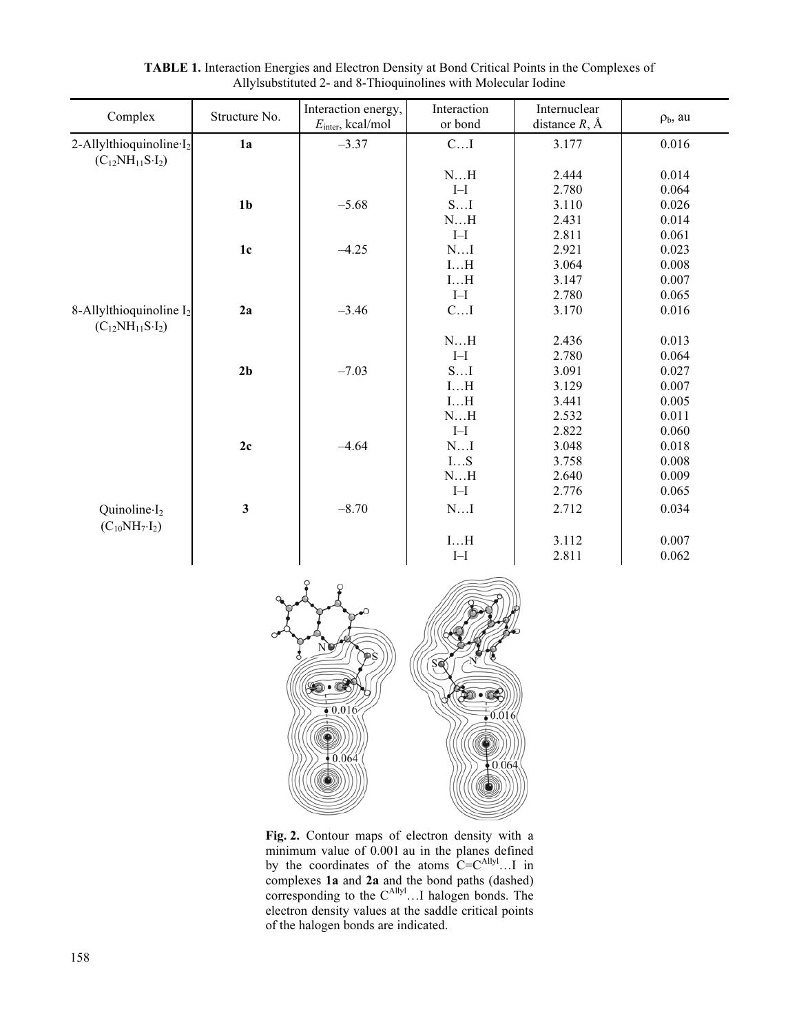| Complex                                              | Structure No.  | Interaction energy,<br>$E_{\text{inter}}$ , kcal/mol | Interaction<br>or bond  | Internuclear<br>distance $R$ , $\AA$ | $\rho_b$ , au |
|------------------------------------------------------|----------------|------------------------------------------------------|-------------------------|--------------------------------------|---------------|
| 2-Allylthioquinoline $I_2$<br>$(C_{12}NH_{11}S-I_2)$ | 1a             | $-3.37$                                              | CI                      | 3.177                                | 0.016         |
|                                                      |                |                                                      | NH                      | 2.444                                | 0.014         |
|                                                      |                |                                                      | $I-I$                   | 2.780                                | 0.064         |
|                                                      | 1 <sub>b</sub> | $-5.68$                                              | SI                      | 3.110                                | 0.026         |
|                                                      |                |                                                      | NH                      | 2.431                                | 0.014         |
|                                                      |                |                                                      | $I-I$                   | 2.811                                | 0.061         |
|                                                      | 1 <sub>c</sub> | $-4.25$                                              | $N{\ldots}I$            | 2.921                                | 0.023         |
|                                                      |                |                                                      | IH                      | 3.064                                | 0.008         |
|                                                      |                |                                                      | IH                      | 3.147                                | 0.007         |
|                                                      |                |                                                      | $I-I$                   | 2.780                                | 0.065         |
| 8-Allylthioquinoline $I_2$                           | 2a             | $-3.46$                                              | CI                      | 3.170                                | 0.016         |
| $(C_{12}NH_{11}S-I_2)$                               |                |                                                      |                         |                                      |               |
|                                                      |                |                                                      | NH                      | 2.436                                | 0.013         |
|                                                      |                |                                                      | $I-I$                   | 2.780                                | 0.064         |
|                                                      | 2 <sub>b</sub> | $-7.03$                                              | SI                      | 3.091                                | 0.027         |
|                                                      |                |                                                      | IH                      | 3.129                                | 0.007         |
|                                                      |                |                                                      | $\mathbf{I}\mathbf{H}$  | 3.441                                | 0.005         |
|                                                      |                |                                                      | NH                      | 2.532                                | 0.011         |
|                                                      |                |                                                      | $\mathbf{I}\mathbf{-I}$ | 2.822                                | 0.060         |
|                                                      | 2c             | $-4.64$                                              | NI                      | 3.048                                | 0.018         |
|                                                      |                |                                                      | IS                      | 3.758                                | 0.008         |
|                                                      |                |                                                      | NH                      | 2.640                                | 0.009         |
|                                                      |                |                                                      | $\mathbf{I}\mathbf{-I}$ | 2.776                                | 0.065         |
| Quinoline $-I_2$                                     | $\mathbf{3}$   | $-8.70$                                              | $N{\ldots}I$            | 2.712                                | 0.034         |
| $(C_{10}NH_7 \cdot I_2)$                             |                |                                                      |                         |                                      |               |
|                                                      |                |                                                      | $IH$                    | 3.112                                | 0.007         |
|                                                      |                |                                                      | $I-I$                   | 2.811                                | 0.062         |
|                                                      |                |                                                      |                         |                                      |               |
|                                                      |                |                                                      |                         |                                      |               |

TABLE 1. Interaction Energies and Electron Density at Bond Critical Points in the Complexes of Allylsubstituted 2- and 8-Thioquinolines with Molecular Iodine



Fig. 2. Contour maps of electron density with a minimum value of 0.001 au in the planes defined by the coordinates of the atoms  $C=C^{Allyl}...I$  in complexes 1a and 2a and the bond paths (dashed) corresponding to the  $C^{Allyl}$ ...I halogen bonds. The electron density values at the saddle critical points of the halogen bonds are indicated.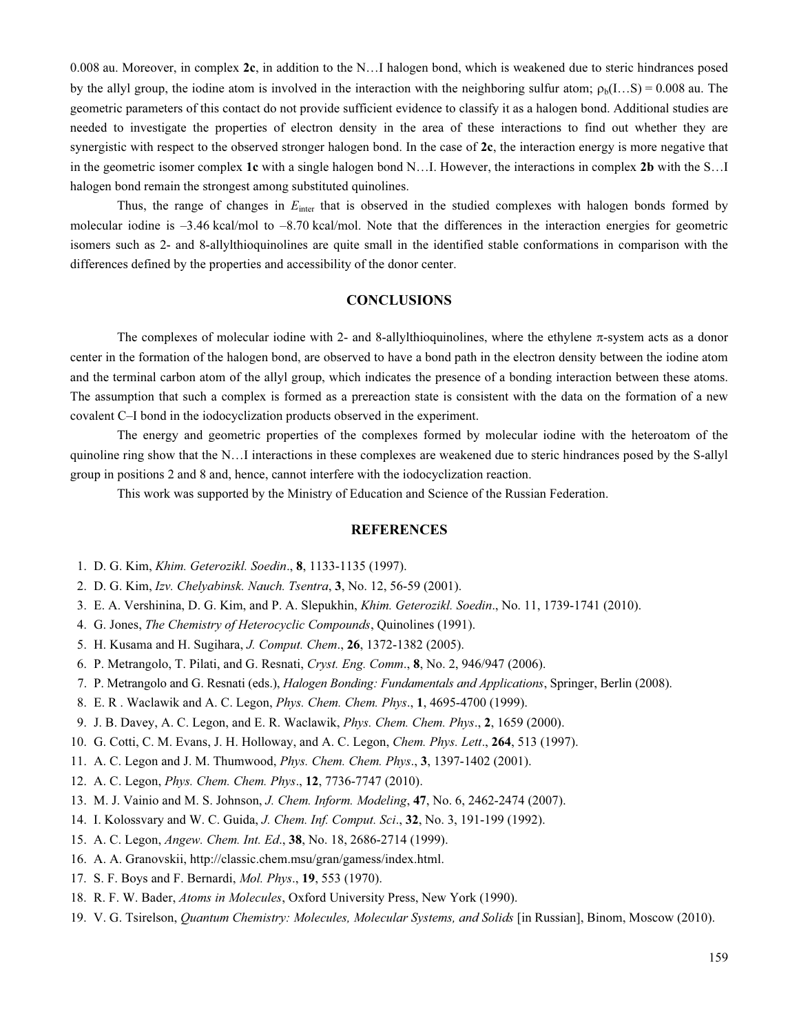0.008 au. Moreover, in complex  $2c$ , in addition to the N... I halogen bond, which is weakened due to steric hindrances posed by the allyl group, the iodine atom is involved in the interaction with the neighboring sulfur atom;  $\rho_b(1...S) = 0.008$  au. The geometric parameters of this contact do not provide sufficient evidence to classify it as a halogen bond. Additional studies are needed to investigate the properties of electron density in the area of these interactions to find out whether they are synergistic with respect to the observed stronger halogen bond. In the case of 2c, the interaction energy is more negative that in the geometric isomer complex 1c with a single halogen bond N…I. However, the interactions in complex 2b with the S…I halogen bond remain the strongest among substituted quinolines.

Thus, the range of changes in  $E_{\text{inter}}$  that is observed in the studied complexes with halogen bonds formed by molecular iodine is –3.46 kcal/mol to –8.70 kcal/mol. Note that the differences in the interaction energies for geometric isomers such as 2- and 8-allylthioquinolines are quite small in the identified stable conformations in comparison with the differences defined by the properties and accessibility of the donor center.

## **CONCLUSIONS**

The complexes of molecular iodine with 2- and 8-allylthioquinolines, where the ethylene  $\pi$ -system acts as a donor center in the formation of the halogen bond, are observed to have a bond path in the electron density between the iodine atom and the terminal carbon atom of the allyl group, which indicates the presence of a bonding interaction between these atoms. The assumption that such a complex is formed as a prereaction state is consistent with the data on the formation of a new covalent C–I bond in the iodocyclization products observed in the experiment.

The energy and geometric properties of the complexes formed by molecular iodine with the heteroatom of the quinoline ring show that the N…I interactions in these complexes are weakened due to steric hindrances posed by the S-allyl group in positions 2 and 8 and, hence, cannot interfere with the iodocyclization reaction.

This work was supported by the Ministry of Education and Science of the Russian Federation.

#### **REFERENCES**

- 1. D. G. Kim, Khim. Geterozikl. Soedin., 8, 1133-1135 (1997).
- 2. D. G. Kim, Izv. Chelyabinsk. Nauch. Tsentra, 3, No. 12, 56-59 (2001).
- 3. E. A. Vershinina, D. G. Kim, and P. A. Slepukhin, Khim. Geterozikl. Soedin., No. 11, 1739-1741 (2010).
- 4. G. Jones, The Chemistry of Heterocyclic Compounds, Quinolines (1991).
- 5. H. Kusama and H. Sugihara, *J. Comput. Chem.*, **26**, 1372-1382 (2005).
- 6. P. Metrangolo, T. Pilati, and G. Resnati, Cryst. Eng. Comm., 8, No. 2, 946/947 (2006).
- 7. P. Metrangolo and G. Resnati (eds.), Halogen Bonding: Fundamentals and Applications, Springer, Berlin (2008).
- 8. E. R . Waclawik and A. C. Legon, Phys. Chem. Chem. Phys., 1, 4695-4700 (1999).
- 9. J. B. Davey, A. C. Legon, and E. R. Waclawik, Phys. Chem. Chem. Phys., 2, 1659 (2000).
- 10. G. Cotti, C. M. Evans, J. H. Holloway, and A. C. Legon, *Chem. Phys. Lett.*, **264**, 513 (1997).
- 11. A. C. Legon and J. M. Thumwood, Phys. Chem. Chem. Phys., 3, 1397-1402 (2001).
- 12. A. C. Legon, Phys. Chem. Chem. Phys., 12, 7736-7747 (2010).
- 13. M. J. Vainio and M. S. Johnson, J. Chem. Inform. Modeling, 47, No. 6, 2462-2474 (2007).
- 14. I. Kolossvary and W. C. Guida, J. Chem. Inf. Comput. Sci., 32, No. 3, 191-199 (1992).
- 15. A. C. Legon, Angew. Chem. Int. Ed., 38, No. 18, 2686-2714 (1999).
- 16. A. A. Granovskii, http://classic.chem.msu/gran/gamess/index.html.
- 17. S. F. Boys and F. Bernardi, Mol. Phys., 19, 553 (1970).
- 18. R. F. W. Bader, Atoms in Molecules, Oxford University Press, New York (1990).
- 19. V. G. Tsirelson, Quantum Chemistry: Molecules, Molecular Systems, and Solids [in Russian], Binom, Moscow (2010).